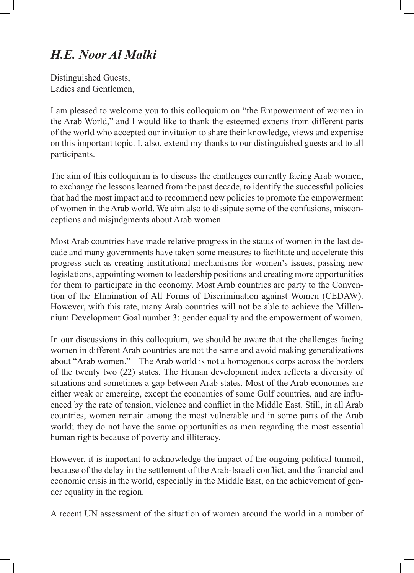## *H.E. Noor Al Malki*

Distinguished Guests, Ladies and Gentlemen,

I am pleased to welcome you to this colloquium on "the Empowerment of women in the Arab World," and I would like to thank the esteemed experts from different parts of the world who accepted our invitation to share their knowledge, views and expertise on this important topic. I, also, extend my thanks to our distinguished guests and to all participants.

The aim of this colloquium is to discuss the challenges currently facing Arab women, to exchange the lessons learned from the past decade, to identify the successful policies that had the most impact and to recommend new policies to promote the empowerment of women in the Arab world. We aim also to dissipate some of the confusions, misconceptions and misjudgments about Arab women.

Most Arab countries have made relative progress in the status of women in the last decade and many governments have taken some measures to facilitate and accelerate this progress such as creating institutional mechanisms for women's issues, passing new legislations, appointing women to leadership positions and creating more opportunities for them to participate in the economy. Most Arab countries are party to the Convention of the Elimination of All Forms of Discrimination against Women (CEDAW). However, with this rate, many Arab countries will not be able to achieve the Millennium Development Goal number 3: gender equality and the empowerment of women.

In our discussions in this colloquium, we should be aware that the challenges facing women in different Arab countries are not the same and avoid making generalizations about "Arab women." The Arab world is not a homogenous corps across the borders of the twenty two (22) states. The Human development index reflects a diversity of situations and sometimes a gap between Arab states. Most of the Arab economies are either weak or emerging, except the economies of some Gulf countries, and are influenced by the rate of tension, violence and conflict in the Middle East. Still, in all Arab countries, women remain among the most vulnerable and in some parts of the Arab world; they do not have the same opportunities as men regarding the most essential human rights because of poverty and illiteracy.

However, it is important to acknowledge the impact of the ongoing political turmoil, because of the delay in the settlement of the Arab-Israeli conflict, and the financial and economic crisis in the world, especially in the Middle East, on the achievement of gender equality in the region.

A recent UN assessment of the situation of women around the world in a number of